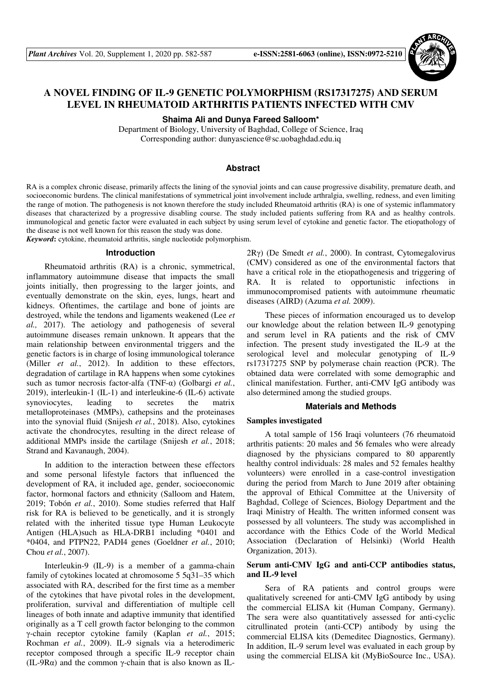

# **A NOVEL FINDING OF IL-9 GENETIC POLYMORPHISM (RS17317275) AND SERUM LEVEL IN RHEUMATOID ARTHRITIS PATIENTS INFECTED WITH CMV**

**Shaima Ali and Dunya Fareed Salloom\*** 

Department of Biology, University of Baghdad, College of Science, Iraq Corresponding author: dunyascience@sc.uobaghdad.edu.iq

# **Abstract**

RA is a complex chronic disease, primarily affects the lining of the synovial joints and can cause progressive disability, premature death, and socioeconomic burdens. The clinical manifestations of symmetrical joint involvement include arthralgia, swelling, redness, and even limiting the range of motion. The pathogenesis is not known therefore the study included Rheumatoid arthritis (RA) is one of systemic inflammatory diseases that characterized by a progressive disabling course. The study included patients suffering from RA and as healthy controls. immunological and genetic factor were evaluated in each subject by using serum level of cytokine and genetic factor. The etiopathology of the disease is not well known for this reason the study was done.

*Keyword***:** cytokine, rheumatoid arthritis, single nucleotide polymorphism.

### **Introduction**

Rheumatoid arthritis (RA) is a chronic, symmetrical, inflammatory autoimmune disease that impacts the small joints initially, then progressing to the larger joints, and eventually demonstrate on the skin, eyes, lungs, heart and kidneys. Oftentimes, the cartilage and bone of joints are destroyed, while the tendons and ligaments weakened (Lee *et al.,* 2017). The aetiology and pathogenesis of several autoimmune diseases remain unknown. It appears that the main relationship between environmental triggers and the genetic factors is in charge of losing immunological tolerance (Miller *et al.*, 2012). In addition to these effectors, degradation of cartilage in RA happens when some cytokines such as tumor necrosis factor-alfa (TNF-α) (Golbargi *et al.*, 2019), interleukin-1 (IL-1) and interleukine-6 (IL-6) activate synoviocytes, leading to secretes the matrix metalloproteinases (MMPs), cathepsins and the proteinases into the synovial fluid (Snijesh *et al.*, 2018). Also, cytokines activate the chondrocytes, resulting in the direct release of additional MMPs inside the cartilage (Snijesh *et al.*, 2018; Strand and Kavanaugh, 2004).

In addition to the interaction between these effectors and some personal lifestyle factors that influenced the development of RA, it included age, gender, socioeconomic factor, hormonal factors and ethnicity (Salloom and Hatem, 2019; Tobón *et al.*, 2010). Some studies referred that Half risk for RA is believed to be genetically, and it is strongly related with the inherited tissue type Human Leukocyte Antigen (HLA)such as HLA-DRB1 including \*0401 and \*0404, and PTPN22, PADI4 genes (Goeldner *et al.*, 2010; Chou *et al.*, 2007).

Interleukin-9 (IL-9) is a member of a gamma-chain family of cytokines located at chromosome 5 5q31–35 which associated with RA, described for the first time as a member of the cytokines that have pivotal roles in the development, proliferation, survival and differentiation of multiple cell lineages of both innate and adaptive immunity that identified originally as a T cell growth factor belonging to the common γ-chain receptor cytokine family (Kaplan *et al.*, 2015; Rochman *et al.*, 2009). IL-9 signals via a heterodimeric receptor composed through a specific IL-9 receptor chain (IL-9R $\alpha$ ) and the common  $\gamma$ -chain that is also known as IL-

2Rγ) (De Smedt *et al.*, 2000). In contrast, Cytomegalovirus (CMV) considered as one of the environmental factors that have a critical role in the etiopathogenesis and triggering of RA. It is related to opportunistic infections in immunocompromised patients with autoimmune rheumatic diseases (AIRD) (Azuma *et al.* 2009).

These pieces of information encouraged us to develop our knowledge about the relation between IL-9 genotyping and serum level in RA patients and the risk of CMV infection. The present study investigated the IL-9 at the serological level and molecular genotyping of IL-9 rs17317275 SNP by polymerase chain reaction (PCR). The obtained data were correlated with some demographic and clinical manifestation. Further, anti-CMV IgG antibody was also determined among the studied groups.

#### **Materials and Methods**

# **Samples investigated**

A total sample of 156 Iraqi volunteers (76 rheumatoid arthritis patients: 20 males and 56 females who were already diagnosed by the physicians compared to 80 apparently healthy control individuals: 28 males and 52 females healthy volunteers) were enrolled in a case-control investigation during the period from March to June 2019 after obtaining the approval of Ethical Committee at the University of Baghdad, College of Sciences, Biology Department and the Iraqi Ministry of Health. The written informed consent was possessed by all volunteers. The study was accomplished in accordance with the Ethics Code of the World Medical Association (Declaration of Helsinki) (World Health Organization, 2013).

### **Serum anti-CMV IgG and anti-CCP antibodies status, and IL-9 level**

Sera of RA patients and control groups were qualitatively screened for anti-CMV IgG antibody by using the commercial ELISA kit (Human Company, Germany). The sera were also quantitatively assessed for anti-cyclic citrullinated protein (anti-CCP) antibody by using the commercial ELISA kits (Demeditec Diagnostics, Germany). In addition, IL-9 serum level was evaluated in each group by using the commercial ELISA kit (MyBioSource Inc., USA).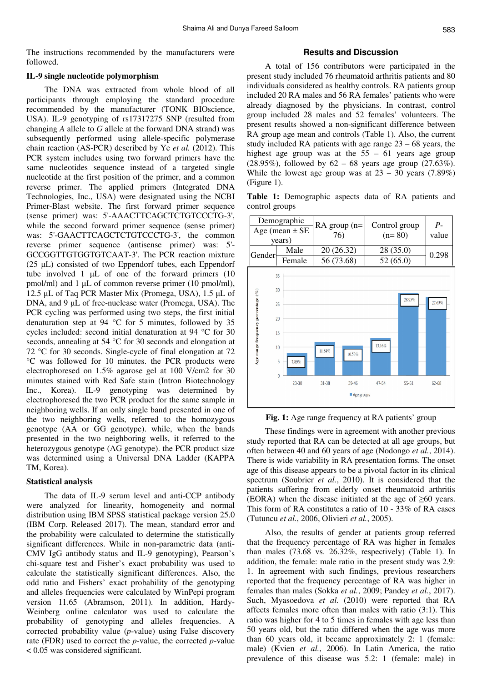The instructions recommended by the manufacturers were followed.

# **IL-9 single nucleotide polymorphism**

The DNA was extracted from whole blood of all participants through employing the standard procedure recommended by the manufacturer (TONK BIOscience, USA). IL-9 genotyping of rs17317275 SNP (resulted from changing *A* allele to *G* allele at the forward DNA strand) was subsequently performed using allele-specific polymerase chain reaction (AS-PCR) described by Ye *et al.* (2012). This PCR system includes using two forward primers have the same nucleotides sequence instead of a targeted single nucleotide at the first position of the primer, and a common reverse primer. The applied primers (Integrated DNA Technologies, Inc., USA) were designated using the NCBI Primer-Blast website. The first forward primer sequence (sense primer) was: 5'-AAACTTCAGCTCTGTCCCTG-3', while the second forward primer sequence (sense primer) was: 5'-GAACTTCAGCTCTGTCCCTG-3', the common reverse primer sequence (antisense primer) was: 5'- GCCGGTTGTGGTGTCAAT-3'. The PCR reaction mixture (25 µL) consisted of two Eppendorf tubes, each Eppendorf tube involved 1  $\mu$ L of one of the forward primers (10 pmol/ml) and 1 µL of common reverse primer (10 pmol/ml), 12.5 µL of Taq PCR Master Mix (Promega, USA), 1.5 µL of DNA, and 9 µL of free-nuclease water (Promega, USA). The PCR cycling was performed using two steps, the first initial denaturation step at 94 °C for 5 minutes, followed by 35 cycles included: second initial denaturation at 94 °C for 30 seconds, annealing at 54 °C for 30 seconds and elongation at 72 °C for 30 seconds. Single-cycle of final elongation at 72 °C was followed for 10 minutes. the PCR products were electrophoresed on 1.5% agarose gel at 100 V/cm2 for 30 minutes stained with Red Safe stain (Intron Biotechnology Inc., Korea). IL-9 genotyping was determined by electrophoresed the two PCR product for the same sample in neighboring wells. If an only single band presented in one of the two neighboring wells, referred to the homozygous genotype (AA or GG genotype). while, when the bands presented in the two neighboring wells, it referred to the heterozygous genotype (AG genotype). the PCR product size was determined using a Universal DNA Ladder (KAPPA TM, Korea).

# **Statistical analysis**

The data of IL-9 serum level and anti-CCP antibody were analyzed for linearity, homogeneity and normal distribution using IBM SPSS statistical package version 25.0 (IBM Corp. Released 2017). The mean, standard error and the probability were calculated to determine the statistically significant differences. While in non-parametric data (anti-CMV IgG antibody status and IL-9 genotyping), Pearson's chi-square test and Fisher's exact probability was used to calculate the statistically significant differences. Also, the odd ratio and Fishers' exact probability of the genotyping and alleles frequencies were calculated by WinPepi program version 11.65 (Abramson, 2011). In addition, Hardy-Weinberg online calculator was used to calculate the probability of genotyping and alleles frequencies. A corrected probability value (*p*-value) using False discovery rate (FDR) used to correct the *p*-value, the corrected *p*-value < 0.05 was considered significant.

#### **Results and Discussion**

A total of 156 contributors were participated in the present study included 76 rheumatoid arthritis patients and 80 individuals considered as healthy controls. RA patients group included 20 RA males and 56 RA females' patients who were already diagnosed by the physicians. In contrast, control group included 28 males and 52 females' volunteers. The present results showed a non-significant difference between RA group age mean and controls (Table 1). Also, the current study included RA patients with age range 23 – 68 years, the highest age group was at the  $55 - 61$  years age group  $(28.95\%)$ , followed by  $62 - 68$  years age group  $(27.63\%)$ . While the lowest age group was at  $23 - 30$  years (7.89%) (Figure 1).

**Table 1:** Demographic aspects data of RA patients and control groups



**Fig. 1:** Age range frequency at RA patients' group

These findings were in agreement with another previous study reported that RA can be detected at all age groups, but often between 40 and 60 years of age (Nodongo *et al.*, 2014). There is wide variability in RA presentation forms. The onset age of this disease appears to be a pivotal factor in its clinical spectrum (Soubrier *et al.*, 2010). It is considered that the patients suffering from elderly onset rheumatoid arthritis (EORA) when the disease initiated at the age of  $\geq 60$  years. This form of RA constitutes a ratio of 10 - 33% of RA cases (Tutuncu *et al.*, 2006, Olivieri *et al.*, 2005).

Also, the results of gender at patients group referred that the frequency percentage of RA was higher in females than males (73.68 vs. 26.32%, respectively) (Table 1). In addition, the female: male ratio in the present study was 2.9: 1. In agreement with such findings, previous researchers reported that the frequency percentage of RA was higher in females than males (Sokka *et al.*, 2009; Pandey *et al.*, 2017). Such, Myasoedova *et al.* (2010) were reported that RA affects females more often than males with ratio (3:1). This ratio was higher for 4 to 5 times in females with age less than 50 years old, but the ratio differed when the age was more than 60 years old, it became approximately 2: 1 (female: male) (Kvien *et al.*, 2006). In Latin America, the ratio prevalence of this disease was 5.2: 1 (female: male) in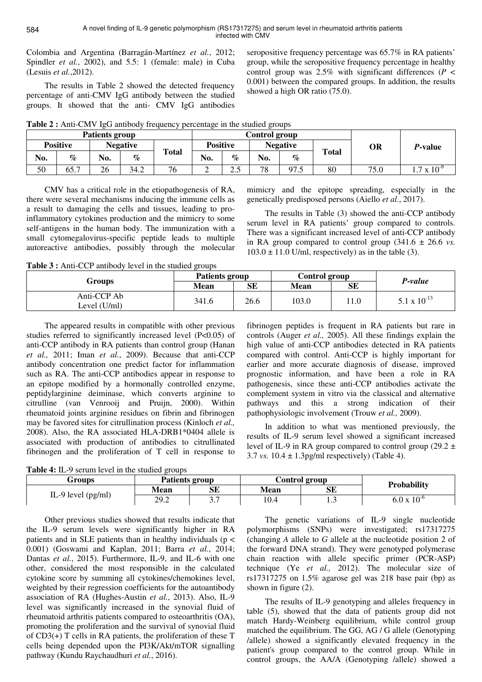Colombia and Argentina (Barragán-Martínez *et al.*, 2012; Spindler *et al.*, 2002), and 5.5: 1 (female: male) in Cuba (Lesuis *et al.*,2012).

The results in Table 2 showed the detected frequency percentage of anti-CMV IgG antibody between the studied groups. It showed that the anti- CMV IgG antibodies seropositive frequency percentage was 65.7% in RA patients' group, while the seropositive frequency percentage in healthy control group was 2.5% with significant differences ( $P \leq$ 0.001) between the compared groups. In addition, the results showed a high OR ratio (75.0).

**Table 2 :** Anti-CMV IgG antibody frequency percentage in the studied groups

| Patients group  |      |                 |      |              | Control group   |                    |                 |             |              |      |                     |
|-----------------|------|-----------------|------|--------------|-----------------|--------------------|-----------------|-------------|--------------|------|---------------------|
| <b>Positive</b> |      | <b>Negative</b> |      |              | <b>Positive</b> |                    | <b>Negative</b> |             |              | OR   | P-value             |
| No.             | $\%$ | No.             | $\%$ | <b>Total</b> | No.             | $\%$               | No.             | $\%$        | <b>Total</b> |      |                     |
| 50              | 65.7 | 26              | 34.2 | 76           | ∸               | $\cap$ $\in$<br>ى. | 78              | 07<br>ل د ا | 80           | 75.0 | $.7 \times 10^{-9}$ |

CMV has a critical role in the etiopathogenesis of RA, there were several mechanisms inducing the immune cells as a result to damaging the cells and tissues, leading to proinflammatory cytokines production and the mimicry to some self-antigens in the human body. The immunization with a small cytomegalovirus-specific peptide leads to multiple autoreactive antibodies, possibly through the molecular

mimicry and the epitope spreading, especially in the genetically predisposed persons (Aiello *et al.*, 2017).

The results in Table (3) showed the anti-CCP antibody serum level in RA patients' group compared to controls. There was a significant increased level of anti-CCP antibody in RA group compared to control group  $(341.6 \pm 26.6 \text{ vs.})$  $103.0 \pm 11.0$  U/ml, respectively) as in the table (3).

**Table 3 :** Anti-CCP antibody level in the studied groups

| Groups                      | <b>Patients group</b> |      | Control group |      | P-value          |  |
|-----------------------------|-----------------------|------|---------------|------|------------------|--|
|                             | Mean                  | SЕ   | Mean          | SE   |                  |  |
| Anti-CCP Ab<br>Level (U/ml) | 341.6                 | 26.6 | 103.0         | 11.0 | 5.1 x $10^{-13}$ |  |

The appeared results in compatible with other previous studies referred to significantly increased level (P<0.05) of anti-CCP antibody in RA patients than control group (Hanan *et al.,* 2011; Iman *et al.*, 2009). Because that anti-CCP antibody concentration one predict factor for inflammation such as RA. The anti-CCP antibodies appear in response to an epitope modified by a hormonally controlled enzyme, peptidylarginine deiminase, which converts arginine to citrulline (van Venrooij and Pruijn, 2000). Within rheumatoid joints arginine residues on fibrin and fibrinogen may be favored sites for citrullination process (Kinloch *et al.,*  2008). Also, the RA associated HLA-DRB1\*0404 allele is associated with production of antibodies to citrullinated fibrinogen and the proliferation of T cell in response to

fibrinogen peptides is frequent in RA patients but rare in controls (Auger *et al.,* 2005). All these findings explain the high value of anti-CCP antibodies detected in RA patients compared with control. Anti-CCP is highly important for earlier and more accurate diagnosis of disease, improved prognostic information, and have been a role in RA pathogenesis, since these anti-CCP antibodies activate the complement system in vitro via the classical and alternative pathways and this a strong indication of their pathophysiologic involvement (Trouw *et al.,* 2009).

In addition to what was mentioned previously, the results of IL-9 serum level showed a significant increased level of IL-9 in RA group compared to control group (29.2  $\pm$ 3.7 *vs.*  $10.4 \pm 1.3$  pg/ml respectively) (Table 4).

**Table 4:** IL-9 serum level in the studied groups

| Groups               | Patients group               |                        |             | <b>Control group</b> | <b>Probability</b>   |  |
|----------------------|------------------------------|------------------------|-------------|----------------------|----------------------|--|
| IL-9 level $(pg/ml)$ | <b>Mean</b>                  | SЕ                     | <b>Mean</b> | SЕ                   |                      |  |
|                      | ാറ ാ<br><i>LJ</i> . <i>L</i> | $\sim$ $\sim$<br>، ، ب | 10.4        |                      | $6.0 \times 10^{-6}$ |  |

Other previous studies showed that results indicate that the IL-9 serum levels were significantly higher in RA patients and in SLE patients than in healthy individuals ( $p <$ 0.001) (Goswami and Kaplan, 2011; Barra *et al.*, 2014; Dantas *et al.*, 2015). Furthermore, IL-9, and IL-6 with one other, considered the most responsible in the calculated cytokine score by summing all cytokines/chemokines level, weighted by their regression coefficients for the autoantibody association of RA (Hughes-Austin *et al.*, 2013). Also, IL-9 level was significantly increased in the synovial fluid of rheumatoid arthritis patients compared to osteoarthritis (OA), promoting the proliferation and the survival of synovial fluid of CD3(+) T cells in RA patients, the proliferation of these T cells being depended upon the PI3K/Akt/mTOR signalling pathway (Kundu Raychaudhuri *et al.*, 2016).

The genetic variations of IL-9 single nucleotide polymorphisms (SNPs) were investigated; rs17317275 (changing *A* allele to *G* allele at the nucleotide position 2 of the forward DNA strand). They were genotyped polymerase chain reaction with allele specific primer (PCR-ASP) technique (Ye *et al.,* 2012). The molecular size of rs17317275 on 1.5% agarose gel was 218 base pair (bp) as shown in figure (2).

The results of IL-9 genotyping and alleles frequency in table (5), showed that the data of patients group did not match Hardy-Weinberg equilibrium, while control group matched the equilibrium. The GG, AG / G allele (Genotyping /allele) showed a significantly elevated frequency in the patient's group compared to the control group. While in control groups, the AA/A (Genotyping /allele) showed a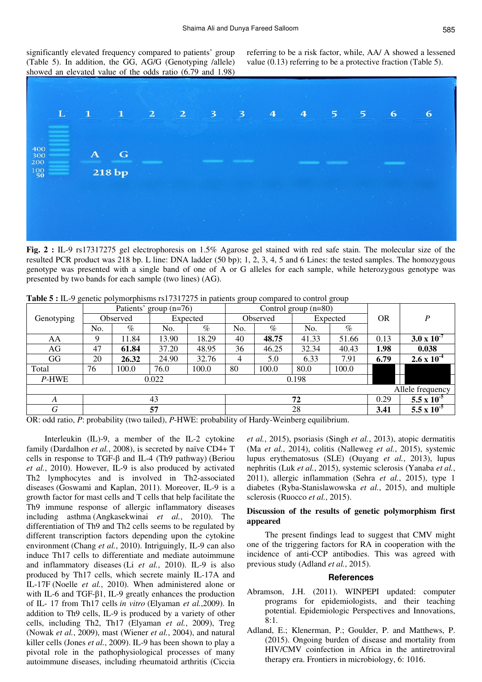significantly elevated frequency compared to patients' group (Table 5). In addition, the GG, AG/G (Genotyping /allele) showed an elevated value of the odds ratio (6.79 and 1.98)

referring to be a risk factor, while, AA/ A showed a lessened value (0.13) referring to be a protective fraction (Table 5).



**Fig. 2 :** IL-9 rs17317275 gel electrophoresis on 1.5% Agarose gel stained with red safe stain. The molecular size of the resulted PCR product was 218 bp. L line: DNA ladder (50 bp); 1, 2, 3, 4, 5 and 6 Lines: the tested samples. The homozygous genotype was presented with a single band of one of A or G alleles for each sample, while heterozygous genotype was presented by two bands for each sample (two lines) (AG).

|                  | Patients' group (n=76) |       |                            |       | Control group $(n=80)$ |       |          |       |           |                      |
|------------------|------------------------|-------|----------------------------|-------|------------------------|-------|----------|-------|-----------|----------------------|
| Genotyping       | Observed               |       | Expected                   |       | Observed               |       | Expected |       | <b>OR</b> | $\boldsymbol{P}$     |
|                  | No.                    | $\%$  | No.                        | $\%$  | No.                    | $\%$  | No.      | $\%$  |           |                      |
| AA               | 9                      | 11.84 | 13.90                      | 18.29 | 40                     | 48.75 | 41.33    | 51.66 | 0.13      | $3.0 \times 10^{-7}$ |
| AG               | 47                     | 61.84 | 37.20                      | 48.95 | 36                     | 46.25 | 32.34    | 40.43 | 1.98      | 0.038                |
| GG               | 20                     | 26.32 | 24.90                      | 32.76 | 4                      | 5.0   | 6.33     | 7.91  | 6.79      | $2.6 \times 10^{-4}$ |
| Total            | 76                     | 100.0 | 76.0                       | 100.0 | 80                     | 100.0 | 80.0     | 100.0 |           |                      |
| P-HWE            |                        |       | 0.022                      |       | 0.198                  |       |          |       |           |                      |
| Allele frequency |                        |       |                            |       |                        |       |          |       |           |                      |
| A                | 43                     |       |                            |       | 72                     |       |          |       | 0.29      | 5.5 x $10^{-5}$      |
| G<br>$-$         |                        |       | 57<br>$\cdots$<br>-------- |       | 28<br>.                |       |          |       | 3.41      | 5.5 x $10^{-5}$      |

**Table 5 :** IL-9 genetic polymorphisms rs17317275 in patients group compared to control group

OR: odd ratio, *P*: probability (two tailed), *P*-HWE: probability of Hardy-Weinberg equilibrium.

Interleukin (IL)-9, a member of the IL-2 cytokine family (Dardalhon *et al.*, 2008), is secreted by naïve CD4+ T cells in response to TGF-β and IL-4 (Th9 pathway) (Beriou *et al.*, 2010). However, IL-9 is also produced by activated Th2 lymphocytes and is involved in Th2-associated diseases (Goswami and Kaplan, 2011). Moreover, IL-9 is a growth factor for mast cells and T cells that help facilitate the Th9 immune response of allergic inflammatory diseases including asthma (Angkasekwinai *et al.*, 2010). The differentiation of Th9 and Th2 cells seems to be regulated by different transcription factors depending upon the cytokine environment (Chang *et al.*, 2010). Intriguingly, IL-9 can also induce Th17 cells to differentiate and mediate autoimmune and inflammatory diseases (Li *et al.*, 2010). IL-9 is also produced by Th17 cells, which secrete mainly IL-17A and IL-17F (Noelle *et al.*, 2010). When administered alone or with IL-6 and TGF-β1, IL-9 greatly enhances the production of IL- 17 from Th17 cells *in vitro* (Elyaman *et al.*,2009). In addition to Th9 cells, IL-9 is produced by a variety of other cells, including Th2, Th17 (Elyaman *et al.*, 2009), Treg (Nowak *et al.*, 2009), mast (Wiener *et al.*, 2004), and natural killer cells (Jones *et al.*, 2009). IL-9 has been shown to play a pivotal role in the pathophysiological processes of many autoimmune diseases, including rheumatoid arthritis (Ciccia *et al.*, 2015), psoriasis (Singh *et al.*, 2013), atopic dermatitis (Ma *et al.*, 2014), colitis (Nalleweg *et al.*, 2015), systemic lupus erythematosus (SLE) (Ouyang *et al.*, 2013), lupus nephritis (Luk *et al.*, 2015), systemic sclerosis (Yanaba *et al.*, 2011), allergic inflammation (Sehra *et al.*, 2015), type 1 diabetes (Ryba-Stanislawowska *et al.*, 2015), and multiple sclerosis (Ruocco *et al.*, 2015).

# **Discussion of the results of genetic polymorphism first appeared**

The present findings lead to suggest that CMV might one of the triggering factors for RA in cooperation with the incidence of anti-CCP antibodies. This was agreed with previous study (Adland *et al.*, 2015).

#### **References**

- Abramson, J.H. (2011). WINPEPI updated: computer programs for epidemiologists, and their teaching potential. Epidemiologic Perspectives and Innovations, 8:1.
- Adland, E.; Klenerman, P.; Goulder, P. and Matthews, P. (2015). Ongoing burden of disease and mortality from HIV/CMV coinfection in Africa in the antiretroviral therapy era. Frontiers in microbiology, 6: 1016.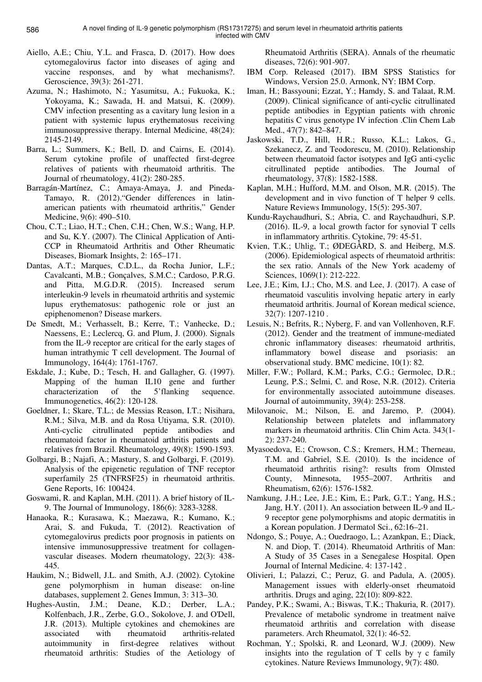- Aiello, A.E.; Chiu, Y.L. and Frasca, D. (2017). How does cytomegalovirus factor into diseases of aging and vaccine responses, and by what mechanisms?. Geroscience, 39(3): 261-271.
- Azuma, N.; Hashimoto, N.; Yasumitsu, A.; Fukuoka, K.; Yokoyama, K.; Sawada, H. and Matsui, K. (2009). CMV infection presenting as a cavitary lung lesion in a patient with systemic lupus erythematosus receiving immunosuppressive therapy. Internal Medicine, 48(24): 2145-2149.
- Barra, L.; Summers, K.; Bell, D. and Cairns, E. (2014). Serum cytokine profile of unaffected first-degree relatives of patients with rheumatoid arthritis. The Journal of rheumatology, 41(2): 280-285.
- Barragán-Martínez, C.; Amaya-Amaya, J. and Pineda-Tamayo, R. (2012)."Gender differences in latinamerican patients with rheumatoid arthritis," Gender Medicine, 9(6): 490–510.
- Chou, C.T.; Liao, H.T.; Chen, C.H.; Chen, W.S.; Wang, H.P. and Su, K.Y. (2007). The Clinical Application of Anti-CCP in Rheumatoid Arthritis and Other Rheumatic Diseases, Biomark Insights, 2: 165–171.
- Dantas, A.T.; Marques, C.D.L., da Rocha Junior, L.F.; Cavalcanti, M.B.; Gonçalves, S.M.C.; Cardoso, P.R.G. and Pitta, M.G.D.R. (2015). Increased serum interleukin-9 levels in rheumatoid arthritis and systemic lupus erythematosus: pathogenic role or just an epiphenomenon? Disease markers.
- De Smedt, M.; Verhasselt, B.; Kerre, T.; Vanhecke, D.; Naessens, E.; Leclercq, G. and Plum, J. (2000). Signals from the IL-9 receptor are critical for the early stages of human intrathymic T cell development. The Journal of Immunology, 164(4): 1761-1767.
- Eskdale, J.; Kube, D.; Tesch, H. and Gallagher, G. (1997). Mapping of the human IL10 gene and further characterization of the 5'flanking sequence. Immunogenetics, 46(2): 120-128.
- Goeldner, I.; Skare, T.L.; de Messias Reason, I.T.; Nisihara, R.M.; Silva, M.B. and da Rosa Utiyama, S.R. (2010). Anti-cyclic citrullinated peptide antibodies and rheumatoid factor in rheumatoid arthritis patients and relatives from Brazil. Rheumatology, 49(8): 1590-1593.
- Golbargi, B.; Najafi, A.; Mastury, S. and Golbargi, F. (2019). Analysis of the epigenetic regulation of TNF receptor superfamily 25 (TNFRSF25) in rheumatoid arthritis. Gene Reports, 16: 100424.
- Goswami, R. and Kaplan, M.H. (2011). A brief history of IL-9. The Journal of Immunology, 186(6): 3283-3288.
- Hanaoka, R.; Kurasawa, K.; Maezawa, R.; Kumano, K.; Arai, S. and Fukuda, T. (2012). Reactivation of cytomegalovirus predicts poor prognosis in patients on intensive immunosuppressive treatment for collagenvascular diseases. Modern rheumatology, 22(3): 438- 445.
- Haukim, N.; Bidwell, J.L. and Smith, A.J. (2002). Cytokine gene polymorphism in human disease: on-line databases, supplement 2. Genes Immun, 3: 313–30.
- Hughes-Austin, J.M.; Deane, K.D.; Derber, L.A.; Kolfenbach, J.R., Zerbe, G.O., Sokolove, J. and O'Dell, J.R. (2013). Multiple cytokines and chemokines are associated with rheumatoid arthritis-related autoimmunity in first-degree relatives without rheumatoid arthritis: Studies of the Aetiology of

Rheumatoid Arthritis (SERA). Annals of the rheumatic diseases, 72(6): 901-907.

- IBM Corp. Released (2017). IBM SPSS Statistics for Windows, Version 25.0. Armonk, NY: IBM Corp.
- Iman, H.; Bassyouni; Ezzat, Y.; Hamdy, S. and Talaat, R.M. (2009). Clinical significance of anti-cyclic citrullinated peptide antibodies in Egyptian patients with chronic hepatitis C virus genotype IV infection .Clin Chem Lab Med., 47(7): 842–847.
- Jaskowski, T.D., Hill, H.R.; Russo, K.L.; Lakos, G., Szekanecz, Z. and Teodorescu, M. (2010). Relationship between rheumatoid factor isotypes and IgG anti-cyclic citrullinated peptide antibodies. The Journal of rheumatology, 37(8): 1582-1588.
- Kaplan, M.H.; Hufford, M.M. and Olson, M.R. (2015). The development and in vivo function of T helper 9 cells. Nature Reviews Immunology, 15(5): 295-307.
- Kundu-Raychaudhuri, S.; Abria, C. and Raychaudhuri, S.P. (2016). IL-9, a local growth factor for synovial T cells in inflammatory arthritis. Cytokine, 79: 45-51.
- Kvien, T.K.; Uhlig, T.; ØDEGÅRD, S. and Heiberg, M.S. (2006). Epidemiological aspects of rheumatoid arthritis: the sex ratio. Annals of the New York academy of Sciences, 1069(1): 212-222.
- Lee, J.E.; Kim, I.J.; Cho, M.S. and Lee, J. (2017). A case of rheumatoid vasculitis involving hepatic artery in early rheumatoid arthritis. Journal of Korean medical science, 32(7): 1207-1210 .
- Lesuis, N.; Befrits, R.; Nyberg, F. and van Vollenhoven, R.F. (2012). Gender and the treatment of immune-mediated chronic inflammatory diseases: rheumatoid arthritis, inflammatory bowel disease and psoriasis: an observational study. BMC medicine, 10(1): 82.
- Miller, F.W.; Pollard, K.M.; Parks, C.G.; Germolec, D.R.; Leung, P.S.; Selmi, C. and Rose, N.R. (2012). Criteria for environmentally associated autoimmune diseases. Journal of autoimmunity, 39(4): 253-258.
- Milovanoic, M.; Nilson, E. and Jaremo, P. (2004). Relationship between platelets and inflammatory markers in rheumatoid arthritis. Clin Chim Acta. 343(1- 2): 237-240.
- Myasoedova, E.; Crowson, C.S.; Kremers, H.M.; Therneau, T.M. and Gabriel, S.E. (2010). Is the incidence of rheumatoid arthritis rising?: results from Olmsted County, Minnesota, 1955–2007. Arthritis and Rheumatism, 62(6): 1576-1582.
- Namkung, J.H.; Lee, J.E.; Kim, E.; Park, G.T.; Yang, H.S.; Jang, H.Y. (2011). An association between IL-9 and IL-9 receptor gene polymorphisms and atopic dermatitis in a Korean population. J Dermatol Sci., 62:16–21.
- Ndongo, S.; Pouye, A.; Ouedraogo, L.; Azankpan, E.; Diack, N. and Diop, T. (2014). Rheumatoid Arthritis of Man: A Study of 35 Cases in a Senegalese Hospital. Open Journal of Internal Medicine. 4: 137-142 .
- Olivieri, I.; Palazzi, C.; Peruz, G. and Padula, A. (2005). Management issues with elderly-onset rheumatoid arthritis. Drugs and aging, 22(10): 809-822.
- Pandey, P.K.; Swami, A.; Biswas, T.K.; Thakuria, R. (2017). Prevalence of metabolic syndrome in treatment naïve rheumatoid arthritis and correlation with disease parameters. Arch Rheumatol, 32(1): 46-52.
- Rochman, Y.; Spolski, R. and Leonard, W.J. (2009). New insights into the regulation of T cells by  $\gamma$  c family cytokines. Nature Reviews Immunology, 9(7): 480.